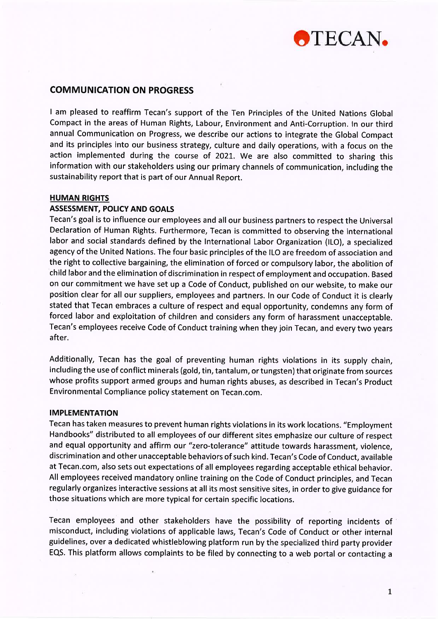

# COMMUNICATION ON PROGRESS

I am pleased to reaffirm Tecan's support of the Ten Principles of the United Nations Global Compact in the areas of Human Rights, Labour, Environment and Anti-Corruption. ln our third annual Communication on Progress, we describe our actions to integrate the Global Compact and its principles into our business strategy, culture and daily operations, with a focus on the action implemented during the course of 2021. We are also committed to sharing this information with our stakeholders using our primary channels of communication, including the sustainability report that is part of our Annual Report.

## HUMAN RIGHTS

## ASSESSMENT, POLICY AND GOALS

Tecan's goal is to influence our employees and all our business partners to respect the Universal Declaration of Human Rights. Furthermore, Tecan is committed to observing the international labor and social standards defined by the lnternational Labor Organization (lLO), a specialized agency of the United Nations. The four basic principles of the ILO are freedom of association and the right to collective bargaining, the elimination of forced or compulsory labor, the abolition of child labor and the elimination of discrimination in respect of employment and occupation. Based on our commitment we have set up a Code of Conduct, published on our website, to make our position clear for all our suppliers, employees and partners. ln our Code of Conduct it is clearly stated that Tecan embraces a culture of respect and equal opportunity, condemns any form of forced labor and exploitation of children and considers any form of harassment unacceptable. Tecan's employees receive Code of Conduct training when they join Tecan, and every two years after.

Additionally, Tecan has the goal of preventing human rights violations in its supply chain, including the use of conflict minerals (gold, tin, tantalum, or tungsten) that originate from sources whose profits support armed groups and human rights abuses, as described in Tecan's Product Environmental Compliance policy statement on Tecan.com.

## IMPLEMENTATION

Tecan has taken measures to prevent human rights violations in its work locations. "Employment Handbooks" distributed to all employees of our different sites emphasize our culture of respect and equal opportunity and affirm our "zero-tolerance" attitude towards harassment, violence, discrimination and other unacceptable behaviors of such kind. Tecan's Code of Conduct, available at Tecan.com, also sets out expectations of all employees regarding acceptable ethical behavior. All employees received mandatory online training on the Code of Conduct principles, and Tecan regularly organizes interactive sessions at all its most sensitive sites, in order to give guidance for those situations which are more typical for certain specific locations.

Tecan employees and other stakeholders have the possibility of reporting incidents of misconduct, including violations of applicable laws, Tecan's Code of Conduct or other internal guidelines, over a dedicated whistleblowing platform run by the specialized third party provider EQS. This platform allows complaints to be filed by connecting to a web portal or contacting <sup>a</sup>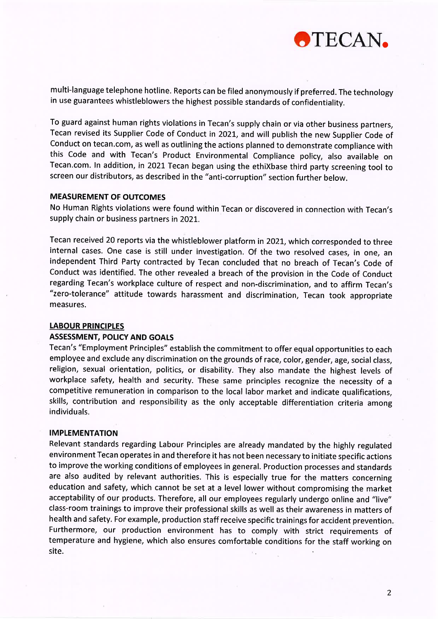

multi-language telephone hotline. Reports can be filed anonymously if preferred. The technology in use guarantees whistleblowers the highest possible standards of confidentiality.

To guard against human rights violations in Tecan's supply chain or via other business partners, Tecan revised its Supplier Code of Conduct in 2021, and will publish the new Supplier Code of Conduct on tecan.com, as well as outlining the actions planned to demonstrate compliance with this Code and with Tecan's Product Environmental Compliance policy, also available on Tecan.com. In addition, in 2021 Tecan began using the ethiXbase third party screening tool to screen our distributors, as described in the "anti-corruption" section further below.

#### MEASUREMENT OF OUTCOMES

No Human Rights violations were found within Tecan or discovered in connection with Tecan's supply chain or business partners in 2021.

Tecan received 20 reports via the whistleblower platform in 2021, which corresponded to three internal cases. One case is still under investigation. Of the two resolved cases, in one, an independent Third Party contracted by Tecan concluded that no breach of Tecan's Code of Conduct was identified. The other revealed a breach of the provision in the Code of Conduct regarding Tecan's workplace culture of respect and non-discrimination, and to affirm Tecan's "zero-tolerance" attitude towards harassment and discrimination, Tecan took appropriate measures.

### LABOUR PRINCIPLES

### **ASSESSMENT, POLICY AND GOALS**

Tecan's "Employment Principles" establish the commitment to offer equal opportunities to each employee and exclude any discrimination on the grounds of race, color, gender, age, social class, religion, sexual orientation, politics, or disability. They also mandate the highest levels of workplace safety, health and security. These same principles recognize the necessity of <sup>a</sup> competitive remuneration in comparison to the local labor market and indicate qualifications, skills, contribution and responsibility as the only acceptable differentiation criteria among individuals.

#### IMPLEMENTATION

Relevant standards regarding Labour Principles are already mandated by the highly regulated environment Tecan operates in and therefore it has not been necessary to initiate specific actions to improve the working conditions of employees in general. Production processes and standards are also audited by relevant authorities. This is especially true for the matters concerning education and safety, which cannot be set at a level lower without compromising the market acceptability of our products. Therefore, all our employees regularly undergo online and "live" class-room trainings to improve their professional skills as well as their awareness in matters of health and safety. For example, production staff receive specific trainings for accident prevention Furthermore, our production environment has to comply with strict requirements of temperature and hygiene, which also ensures comfortable conditions for the staff working on site.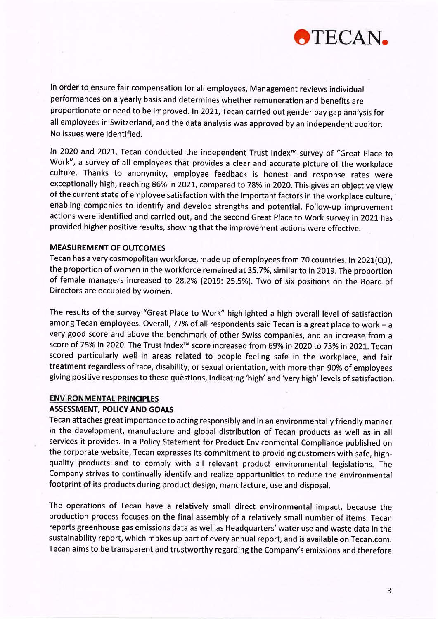

ln order to ensure fair compensation for all employees, Management reviews individual performances on a yearly basis and determines whether remuneration and benefits are proportionate or need to be improved. In 2021, Tecan carried out gender pay gap analysis for all employees in Switzerland, and the data analysis was approved by an independent auditor. No issues were identified.

ln 2020 and 202L, Tecan conducted the independent Trust lndex'" survey of "Great place to Work", a survey of all employees that provides a clear and accurate picture of the workplace culture. Thanks to anonymity, employee feedback is honest and response rates were exceptionally high, reaching 86% in 2021, compared to 78% in 2020. This gives an objective view of the current state of employee satisfaction with the important factors in the workplace culture, enabling companies to identify and develop strengths and potential. Follow-up improvement actions were identified and carried out, and the second Great Place to Work survey in 2021 has provided higher positive results, showing that the improvement actions were effective.

#### MEASUREMENT OF OUTCOMES

Tecan has a very cosmopolitan workforce, made up of employees from 70 countries. In 2021(Q3), the proportion of women in the workforce remained at35.7%, similar to in 2019. The proportion of female managers increased to 28.2% (2019: 25.5%). Two of six positions on the Board of Directors are occupied by women.

The results of the survey "Great Place to Work" highlighted a high overall level of satisfaction among Tecan employees. Overall, 77% of all respondents said Tecan is a great place to work - a very good score and above the benchmark of other Swiss companies, and an increase from <sup>a</sup> score of 75% in 2020. The Trust Index<sup>™</sup> score increased from 69% in 2020 to 73% in 2021. Tecan scored particularly well in areas related to people feeling safe in the workplace, and fair treatment regardless of race, disability, or sexual orientation, with more than 90% of employees giving positive responses to these questions, indicating 'high' and 'very high' levels of satisfaction

## ENVIRONMENTAL PRINCIPLES

## **ASSESSMENT, POLICY AND GOALS**

Tecan attaches great importance to acting responsibly and in an environmentally friendly manner in the development, manufacture and global distribution of Tecan products as well as in all services it provides. ln a Policy Statement for Product Environmental Compliance published on the corporate website, Tecan expresses its commitment to providing customers with safe, highquality products and to comply with all relevant product environmental legislations. The Company strives to continually identify and realize opportunities to reduce the environmental footprint of its products during product design, manufacture, use and disposal.

The operations of Tecan have a relatively small direct environmental impact, because the production process focuses on the final assembly of a relatively small number of items. Tecan reports greenhouse gas emissions data as well as Headquarters'water use and waste data in the sustainability report, which makes up part of every annual report, and is available on Tecan.com. Tecan aims to be transparent and trustworthy regarding the Company's emissions and therefore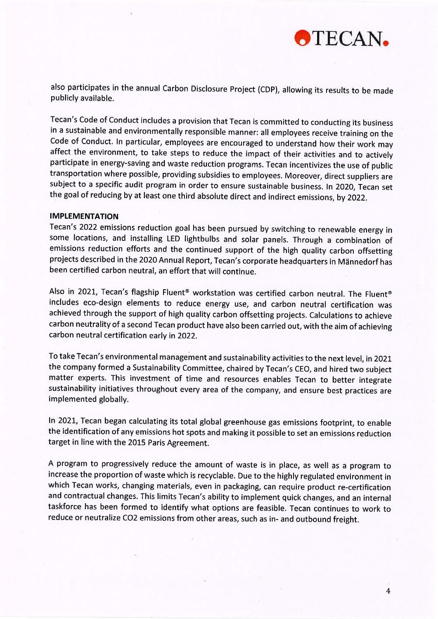

also participates in the annual Carbon Disclosure Project (CDP), allowing its results to be made publicly available.

Tecan's Code of Conduct includes a provision that Tecan is committed to conducting its business in a sustainable and environmentally responsible manner: all employees receive training on the Code of Conduct. In particular, employees are encouraged to understand how their work may affect the environment, to take steps to reduce the impact of their activities and to actively participate in energy-saving and waste reduction programs. Tecan incentivizes the use of public transportation where possible, providing subsidies to employees. Moreover, direct suppliers are subject to a specific audit program in order to ensure sustainable business. ln 2020, Tecan set the goal of reducing by at least one third absolute direct and indirect emissions, by 2022.

#### IMPLEMENTATION

Tecan's 2022 emissions reduction goal has been pursued by switching to renewable energy in some locations, and installing LED lightbulbs and solar panels. Through a combination of emissions reduction efforts and the continued support of the high quality carbon offsetting projects described in the 2020 Annual Report, Tecan's corporate headquarters in Männedorf has been certified carbon neutral, an effort that will continue.

Also in 2021, Tecan's flagship Fluent<sup>®</sup> workstation was certified carbon neutral. The Fluent<sup>®</sup> includes eco-design elements to reduce energy use, and carbon neutral certification was achieved through the support of high quality carbon offsetting projects, Calculations to achieve carbon neutrality of a second Tecan product have also been carried out, with the aim of achieving carbon neutral certification early in 2022.

To take Tecan's environmental management and sustainability activities to the next level, in 2O2t the company formed a Sustainability Committee, chaired by Tecan's CEO, and hired two subject matter experts. This investment of time and resources enables Tecan to better integrate sustainability initiatives throughout every area of the company, and ensure best practices are implemented globally.

ln 202L, Tecan began calculating its total global greenhouse gas emissions footprint, to enable the identification of any emissions hot spots and making it possible to set an emissions reduction target in line with the 2015 Paris Agreement.

A program to progressively reduce the amount of waste is in place, as well as a program to increase the proportion of waste which is recyclable. Due to the highly regulated environment in which Tecan works, changing materials, even in packaging, can require product re-certification and contractual changes. This limits Tecan's ability to implement quick changes, and an internal taskforce has been formed to identify what options are feasible. Tecan continues to work to reduce or neutralize CO2 emissions from other areas, such as in- and outbound freight.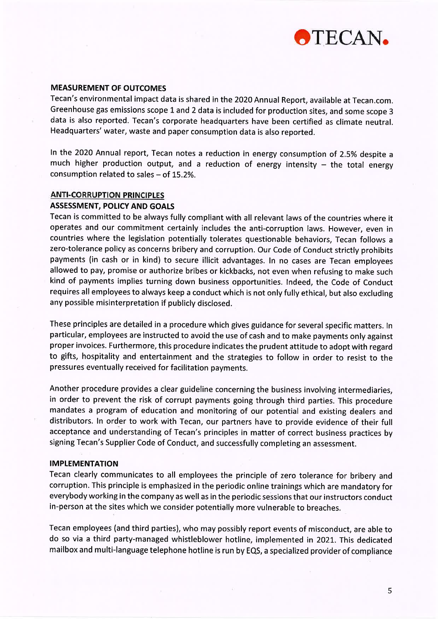

## MEASUREMENT OF OUTCOMES

Tecan's environmental impact data is shared in the 2020 Annual Report, available at Tecan.com. Greenhouse gas emissions scope 1 and 2 data is included for production sites, and some scope 3 data is also reported. Tecan's corporate headquarters have been certified as climate neutral. Headquarters' water, waste and paper consumption data is also reported.

ln the 2020 Annual report, Tecan notes a reduction in energy consumption of 2.5% despite <sup>a</sup> much higher production output, and a reduction of energy intensity  $-$  the total energy consumption related to sales  $-$  of 15.2%.

## **ANTI-CORRUPTION PRINCIPLES**

### ASSESSMENT, POLICY AND GOALS

Tecan is committed to be always fully compliant with all relevant laws of the countries where it operates and our commitment certainly includes the anti-corruption laws. However, even in countries where the legislation potentially tolerates questionable behaviors, Tecan follows <sup>a</sup> zero-tolerance policy as concerns bribery and corruption. Our Code of Conduct strictly prohibits payments (in cash or in kind) to secure illicit advantages. ln no cases are Tecan employees allowed to pay, promise or authorize bribes or kickbacks, not even when refusing to make such kind of payments implies turning down business opportunities. lndeed, the Code of Conduct requires all employees to always keep a conduct which is not only fully ethical, but also excluding any possible misinterpretation if publicly disclosed.

These principles are detailed in a procedure which gives guidance for several specific matters. ln particular, employees are instructed to avoid the use of cash and to make payments only against proper invoices. Furthermore, this procedure indicates the prudent attitude to adopt with regard to gifts, hospitality and entertainment and the strategies to follow in order to resist to the pressures eventually received for facilitation payments.

Another procedure provides a clear guideline concerning the business involving intermediaries, in order to prevent the risk of corrupt payments going through third parties. This procedure mandates a program of education and monitoring of our potential and existing dealers and distributors. ln order to work with Tecan, our partners have to provide evidence of their full acceptance and understanding of Tecan's principles in matter of correct business practices by signing Tecan's Supplier Code of Conduct, and successfully completing an assessment.

## IMPLEMENTATION

Tecan clearly communicates to all employees the principle of zero tolerance for bribery and corruption. This principle is emphasized in the periodic online trainings which are mandatory for everybody working in the company as well as in the periodic sessions that our instructors conduct in-person at the sites which we consider potentially more vulnerable to breaches.

Tecan employees (and third parties), who may possibly report events of misconduct, are able to do so via a third party-managed whistleblower hotline, implemented in 2021. This dedicated mailbox and multi-language telephone hotline is run by EQS, a specialized provider of compliance